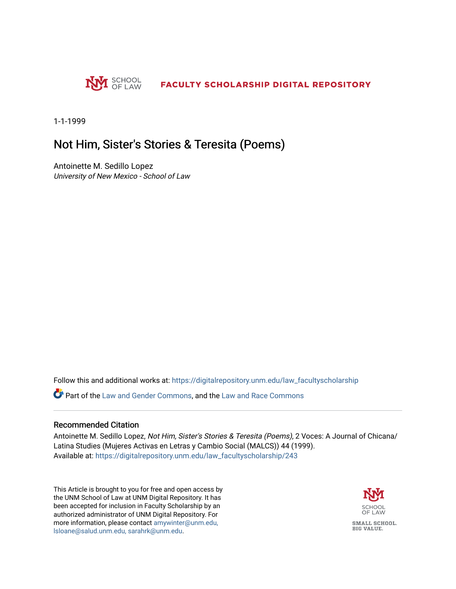

1-1-1999

## Not Him, Sister's Stories & Teresita (Poems)

Antoinette M. Sedillo Lopez University of New Mexico - School of Law

Follow this and additional works at: [https://digitalrepository.unm.edu/law\\_facultyscholarship](https://digitalrepository.unm.edu/law_facultyscholarship?utm_source=digitalrepository.unm.edu%2Flaw_facultyscholarship%2F243&utm_medium=PDF&utm_campaign=PDFCoverPages) 

**P** Part of the [Law and Gender Commons,](http://network.bepress.com/hgg/discipline/1298?utm_source=digitalrepository.unm.edu%2Flaw_facultyscholarship%2F243&utm_medium=PDF&utm_campaign=PDFCoverPages) and the [Law and Race Commons](http://network.bepress.com/hgg/discipline/1300?utm_source=digitalrepository.unm.edu%2Flaw_facultyscholarship%2F243&utm_medium=PDF&utm_campaign=PDFCoverPages)

#### Recommended Citation

Antoinette M. Sedillo Lopez, Not Him, Sister's Stories & Teresita (Poems), 2 Voces: A Journal of Chicana/ Latina Studies (Mujeres Activas en Letras y Cambio Social (MALCS)) 44 (1999). Available at: [https://digitalrepository.unm.edu/law\\_facultyscholarship/243](https://digitalrepository.unm.edu/law_facultyscholarship/243?utm_source=digitalrepository.unm.edu%2Flaw_facultyscholarship%2F243&utm_medium=PDF&utm_campaign=PDFCoverPages) 

This Article is brought to you for free and open access by the UNM School of Law at UNM Digital Repository. It has been accepted for inclusion in Faculty Scholarship by an authorized administrator of UNM Digital Repository. For more information, please contact [amywinter@unm.edu,](mailto:amywinter@unm.edu,%20lsloane@salud.unm.edu,%20sarahrk@unm.edu)  [lsloane@salud.unm.edu, sarahrk@unm.edu.](mailto:amywinter@unm.edu,%20lsloane@salud.unm.edu,%20sarahrk@unm.edu)

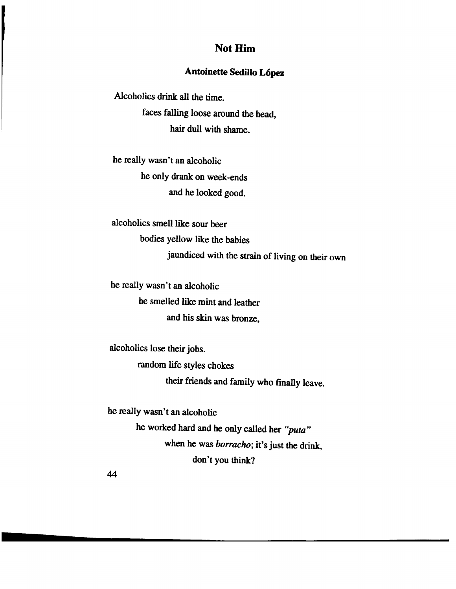## Not Him

### Antoinette Sedillo López

Alcoholics drink all the time. faces falling loose around the head, hair dull with shame.

he really wasn't an alcoholic he only drank on week-ends and he looked good.

alcoholics smell like sour beer bodies yellow like the babies jaundiced with the strain of living on their own

he really wasn't an alcoholic he smelled like mint and leather and his skin was bronze,

alcoholics lose their jobs.

random life styles chokes

their friends and family who finally leave.

he really wasn't an alcoholic

he worked hard and he only called her *"puta"*  when he was *borracho;* it's just the drink, don't you think?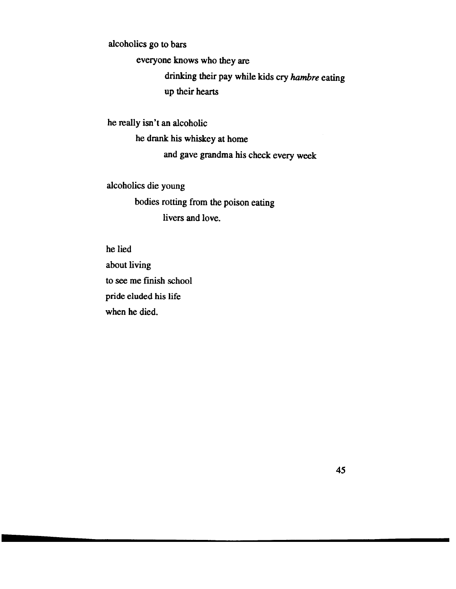alcoholics go to bars

everyone knows who they are

drinking their pay while kids cry *hambre* eating up their hearts

he really isn't an alcoholic

he drank his whiskey at home

and gave grandma his check every week

alcoholics die young bodies rotting from the poison eating livers and love.

he lied about living to see me finish school pride eluded his life when he died.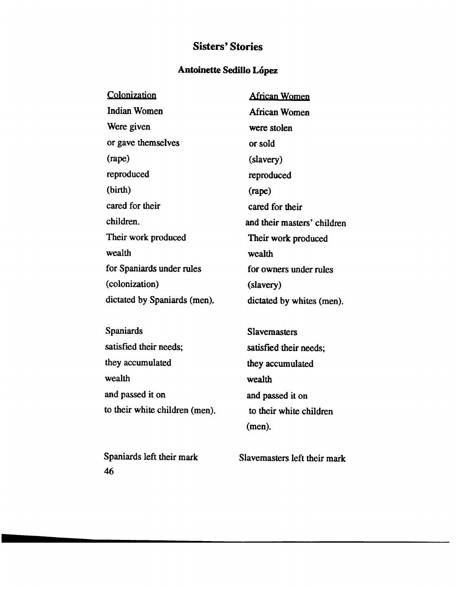# **Sisters' Stories**

### **Antoinette Sedillo Lopez**

| Colonization                 | <b>African Women</b>        |
|------------------------------|-----------------------------|
| Indian Women                 | African Women               |
| Were given                   | were stolen                 |
| or gave themselves           | or sold                     |
| $(\text{rape})$              | (slavery)                   |
| reproduced                   | reproduced                  |
| (birth)                      | $(\text{rape})$             |
| cared for their              | cared for their             |
| children.                    | and their masters' children |
| Their work produced          | Their work produced         |
| wealth                       | wealth                      |
| for Spaniards under rules    | for owners under rules      |
| (colonization)               | (slavery)                   |
| dictated by Spaniards (men). | dictated by whites (men).   |
|                              |                             |

Spaniards satisfied their needs; they accumulated wealth and passed it on to their white children (men).

Spaniards left their mark 46

Slavemasters satisfied their needs; they accumulated wealth and passed it on to their white children (men).

Slavemasters left their mark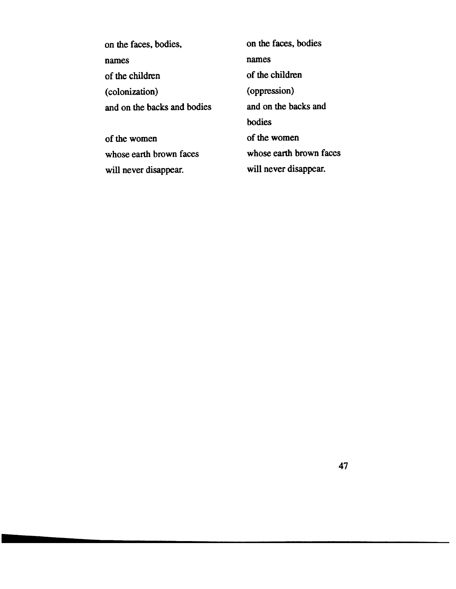| on the faces, bodies,       | on the faces, bodies    |
|-----------------------------|-------------------------|
| names                       | names                   |
| of the children             | of the children         |
| (colonization)              | (oppression)            |
| and on the backs and bodies | and on the backs and    |
|                             | hodies                  |
| of the women                | of the women            |
| whose earth brown faces     | whose earth brown faces |
| will never disappear.       | will never disappear.   |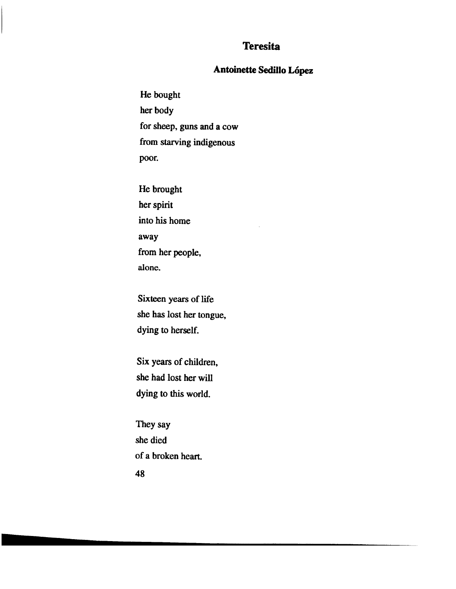## **Teresita**

#### **Antoinette Sedillo Lopez**

He bought her body for sheep, guns and a cow from starving indigenous poor.

He brought her spirit into his home away from her people, alone.

Sixteen years of life she has lost her tongue, dying to herself.

Six years of children, she had lost her will dying to this world.

They say she died of a broken heart. 48